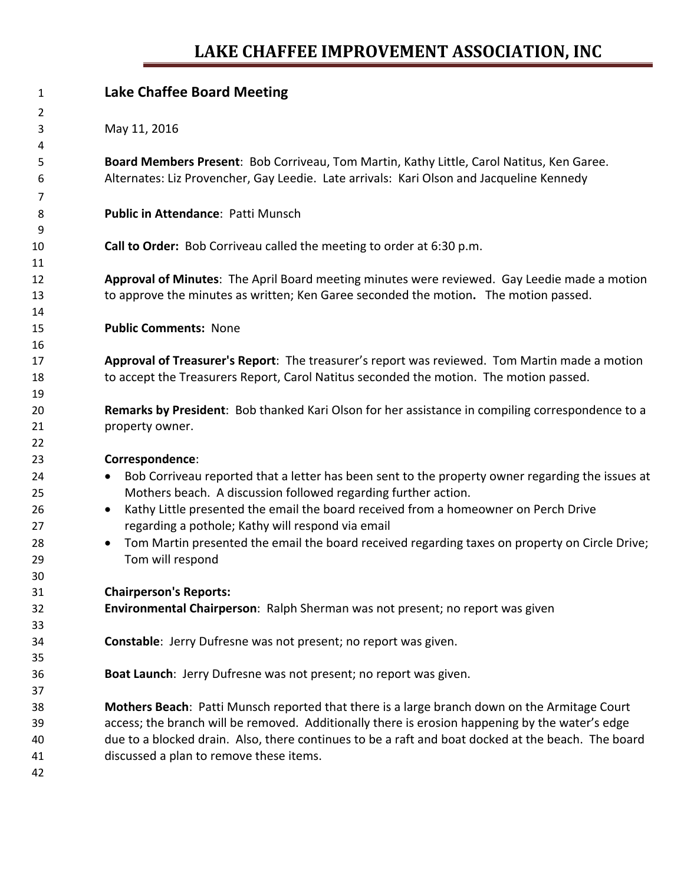## **LAKE CHAFFEE IMPROVEMENT ASSOCIATION, INC**

| 1              | <b>Lake Chaffee Board Meeting</b>                                                                             |
|----------------|---------------------------------------------------------------------------------------------------------------|
| $\overline{2}$ |                                                                                                               |
| 3              | May 11, 2016                                                                                                  |
| 4              |                                                                                                               |
| 5              | Board Members Present: Bob Corriveau, Tom Martin, Kathy Little, Carol Natitus, Ken Garee.                     |
| 6              | Alternates: Liz Provencher, Gay Leedie. Late arrivals: Kari Olson and Jacqueline Kennedy                      |
| 7              |                                                                                                               |
| 8              | Public in Attendance: Patti Munsch                                                                            |
| 9              |                                                                                                               |
| 10             | Call to Order: Bob Corriveau called the meeting to order at 6:30 p.m.                                         |
| 11             |                                                                                                               |
| 12             | Approval of Minutes: The April Board meeting minutes were reviewed. Gay Leedie made a motion                  |
| 13             | to approve the minutes as written; Ken Garee seconded the motion. The motion passed.                          |
| 14             |                                                                                                               |
| 15             | <b>Public Comments: None</b>                                                                                  |
| 16             |                                                                                                               |
| 17             | Approval of Treasurer's Report: The treasurer's report was reviewed. Tom Martin made a motion                 |
| 18             | to accept the Treasurers Report, Carol Natitus seconded the motion. The motion passed.                        |
| 19             |                                                                                                               |
| 20             | Remarks by President: Bob thanked Kari Olson for her assistance in compiling correspondence to a              |
| 21             | property owner.                                                                                               |
| 22             |                                                                                                               |
| 23             | Correspondence:                                                                                               |
| 24             | Bob Corriveau reported that a letter has been sent to the property owner regarding the issues at<br>$\bullet$ |
| 25             | Mothers beach. A discussion followed regarding further action.                                                |
| 26             | Kathy Little presented the email the board received from a homeowner on Perch Drive<br>$\bullet$              |
| 27             | regarding a pothole; Kathy will respond via email                                                             |
| 28             | Tom Martin presented the email the board received regarding taxes on property on Circle Drive;<br>$\bullet$   |
| 29             | Tom will respond                                                                                              |
| 30             |                                                                                                               |
| 31             | <b>Chairperson's Reports:</b>                                                                                 |
| 32             | Environmental Chairperson: Ralph Sherman was not present; no report was given                                 |
| 33             |                                                                                                               |
| 34             | Constable: Jerry Dufresne was not present; no report was given.                                               |
| 35             |                                                                                                               |
| 36             | Boat Launch: Jerry Dufresne was not present; no report was given.                                             |
| 37             |                                                                                                               |
| 38             | Mothers Beach: Patti Munsch reported that there is a large branch down on the Armitage Court                  |
| 39             | access; the branch will be removed. Additionally there is erosion happening by the water's edge               |
| 40             | due to a blocked drain. Also, there continues to be a raft and boat docked at the beach. The board            |
| 41             | discussed a plan to remove these items.                                                                       |
| 42             |                                                                                                               |
|                |                                                                                                               |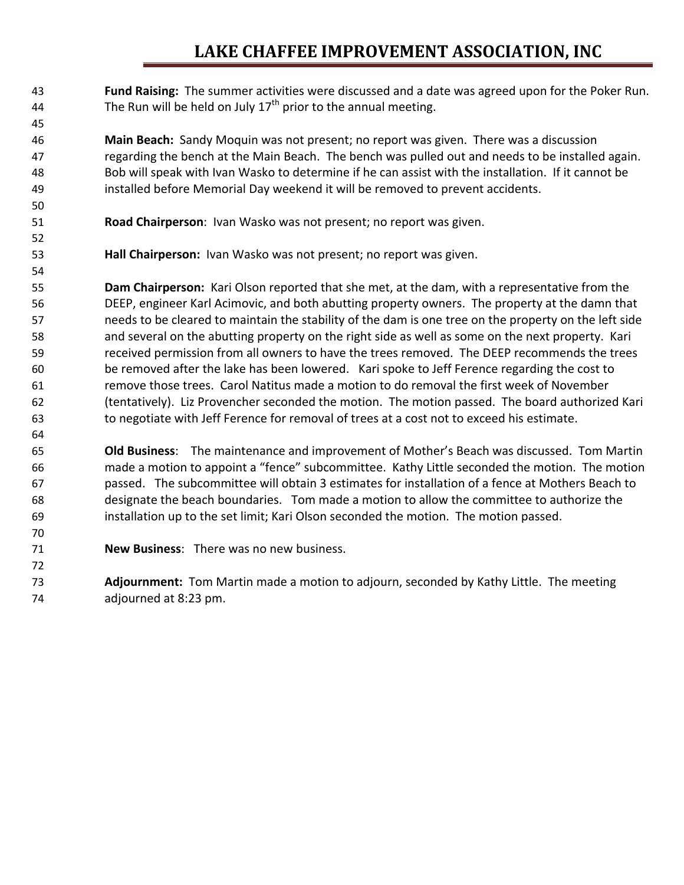## **LAKE CHAFFEE IMPROVEMENT ASSOCIATION, INC**

 **Fund Raising:** The summer activities were discussed and a date was agreed upon for the Poker Run. 44 The Run will be held on July  $17<sup>th</sup>$  prior to the annual meeting.

 **Main Beach:** Sandy Moquin was not present; no report was given. There was a discussion regarding the bench at the Main Beach. The bench was pulled out and needs to be installed again. Bob will speak with Ivan Wasko to determine if he can assist with the installation. If it cannot be installed before Memorial Day weekend it will be removed to prevent accidents.

- **Road Chairperson**: Ivan Wasko was not present; no report was given.
- **Hall Chairperson:** Ivan Wasko was not present; no report was given.

 **Dam Chairperson:** Kari Olson reported that she met, at the dam, with a representative from the DEEP, engineer Karl Acimovic, and both abutting property owners. The property at the damn that needs to be cleared to maintain the stability of the dam is one tree on the property on the left side and several on the abutting property on the right side as well as some on the next property. Kari received permission from all owners to have the trees removed. The DEEP recommends the trees be removed after the lake has been lowered. Kari spoke to Jeff Ference regarding the cost to remove those trees. Carol Natitus made a motion to do removal the first week of November (tentatively). Liz Provencher seconded the motion. The motion passed. The board authorized Kari to negotiate with Jeff Ference for removal of trees at a cost not to exceed his estimate.

 **Old Business**: The maintenance and improvement of Mother's Beach was discussed. Tom Martin made a motion to appoint a "fence" subcommittee. Kathy Little seconded the motion. The motion passed. The subcommittee will obtain 3 estimates for installation of a fence at Mothers Beach to designate the beach boundaries. Tom made a motion to allow the committee to authorize the installation up to the set limit; Kari Olson seconded the motion. The motion passed.

**New Business**: There was no new business.

 **Adjournment:** Tom Martin made a motion to adjourn, seconded by Kathy Little. The meeting adjourned at 8:23 pm.